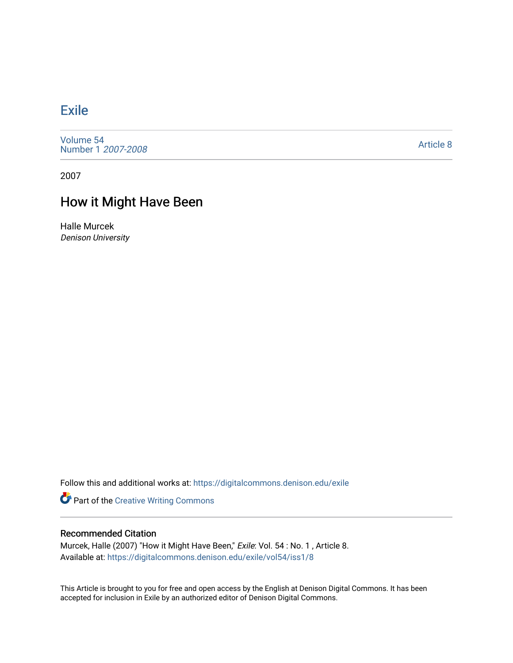## [Exile](https://digitalcommons.denison.edu/exile)

[Volume 54](https://digitalcommons.denison.edu/exile/vol54) [Number 1](https://digitalcommons.denison.edu/exile/vol54/iss1) 2007-2008

[Article 8](https://digitalcommons.denison.edu/exile/vol54/iss1/8) 

2007

## How it Might Have Been

Halle Murcek Denison University

Follow this and additional works at: [https://digitalcommons.denison.edu/exile](https://digitalcommons.denison.edu/exile?utm_source=digitalcommons.denison.edu%2Fexile%2Fvol54%2Fiss1%2F8&utm_medium=PDF&utm_campaign=PDFCoverPages) 

**Part of the Creative Writing Commons** 

## Recommended Citation

Murcek, Halle (2007) "How it Might Have Been," Exile: Vol. 54 : No. 1 , Article 8. Available at: [https://digitalcommons.denison.edu/exile/vol54/iss1/8](https://digitalcommons.denison.edu/exile/vol54/iss1/8?utm_source=digitalcommons.denison.edu%2Fexile%2Fvol54%2Fiss1%2F8&utm_medium=PDF&utm_campaign=PDFCoverPages) 

This Article is brought to you for free and open access by the English at Denison Digital Commons. It has been accepted for inclusion in Exile by an authorized editor of Denison Digital Commons.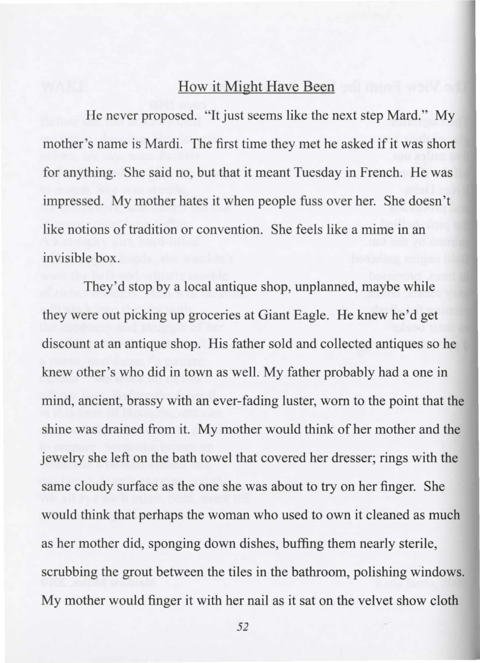## How it Might Have Been

He never proposed. "It just seems like the next step Mard." My mother's name is Mardi. The first time they met he asked if it was short for anything. She said no, but that it meant Tuesday in French. He was impressed. My mother hates it when people fuss over her. She doesn't like notions of tradition or convention. She feels like a mime in an invisible box.

They'd stop by a local antique shop, unplanned, maybe while they were out picking up groceries at Giant Eagle. He knew he'd get discount at an antique shop. His father sold and collected antiques so he knew other's who did in town as well. My father probably had a one in mind, ancient, brassy with an ever-fading luster, worn to the point that the shine was drained from it. My mother would think of her mother and the jewelry she left on the bath towel that covered her dresser; rings with the same cloudy surface as the one she was about to try on her finger. She would think that perhaps the woman who used to own it cleaned as much as her mother did, sponging down dishes, buffing them nearly sterile, scrubbing the grout between the tiles in the bathroom, polishing windows. My mother would finger it with her nail as it sat on the velvet show cloth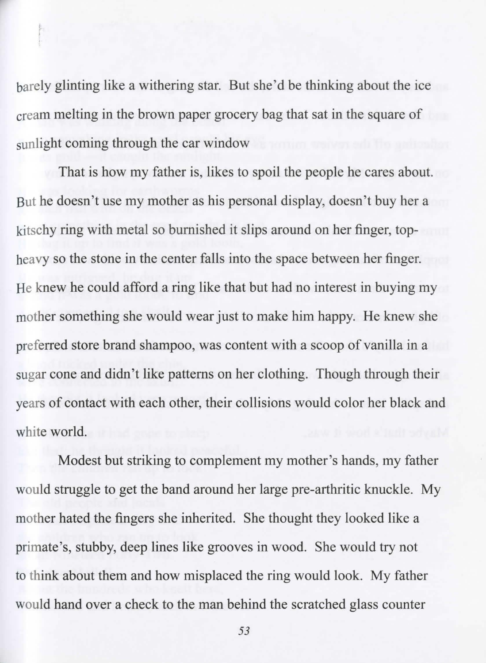barely glinting like a withering star. But she'd be thinking about the ice cream melting in the brown paper grocery bag that sat in the square of sunlight coming through the car window

That is how my father is, likes to spoil the people he cares about. But he doesn't use my mother as his personal display, doesn 't buy her a kitschy ring with metal so burnished it slips around on her finger, topheavy so the stone in the center falls into the space between her finger. He knew he could afford a ring like that but had no interest in buying my mother something she would wear just to make him happy. He knew she preferred store brand shampoo, was content with a scoop of vanilla in a sugar cone and didn't like patterns on her clothing. Though through their years of contact with each other, their collisions would color her black and white world.

Modest but striking to complement my mother's hands, my father would struggle to get the band around her large pre-arthritic knuckle. My mother hated the fingers she inherited. She thought they looked like a primate's, stubby, deep lines like grooves in wood. She would try not to think about them and how misplaced the ring would look. My father would hand over a check to the man behind the scratched glass counter

*53*